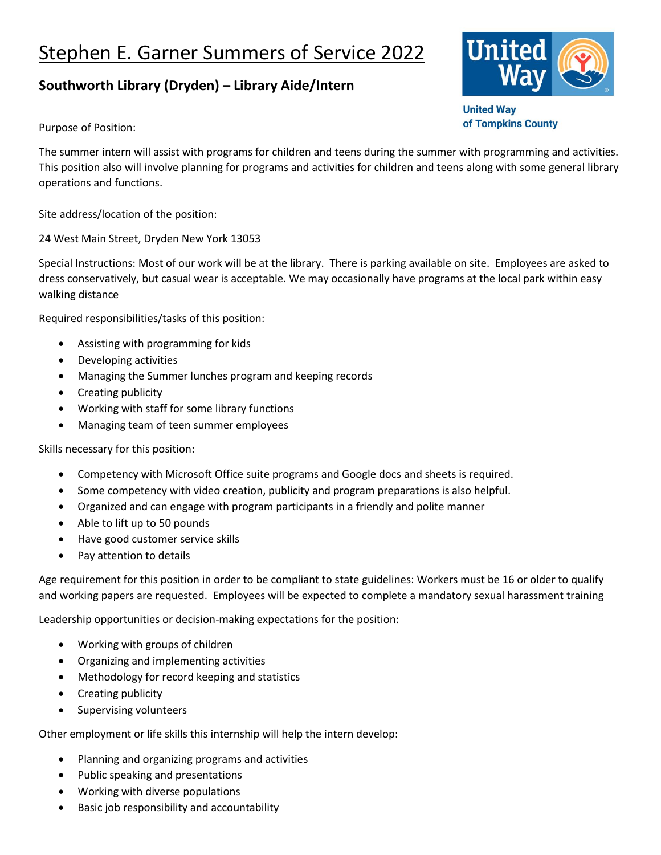## Stephen E. Garner Summers of Service 2022

## **Southworth Library (Dryden) – Library Aide/Intern**

Purpose of Position:

The summer intern will assist with programs for children and teens during the summer with programming and activities. This position also will involve planning for programs and activities for children and teens along with some general library operations and functions.

Site address/location of the position:

24 West Main Street, Dryden New York 13053

Special Instructions: Most of our work will be at the library. There is parking available on site. Employees are asked to dress conservatively, but casual wear is acceptable. We may occasionally have programs at the local park within easy walking distance

Required responsibilities/tasks of this position:

- Assisting with programming for kids
- Developing activities
- Managing the Summer lunches program and keeping records
- Creating publicity
- Working with staff for some library functions
- Managing team of teen summer employees

Skills necessary for this position:

- Competency with Microsoft Office suite programs and Google docs and sheets is required.
- Some competency with video creation, publicity and program preparations is also helpful.
- Organized and can engage with program participants in a friendly and polite manner
- Able to lift up to 50 pounds
- Have good customer service skills
- Pay attention to details

Age requirement for this position in order to be compliant to state guidelines: Workers must be 16 or older to qualify and working papers are requested. Employees will be expected to complete a mandatory sexual harassment training

Leadership opportunities or decision-making expectations for the position:

- Working with groups of children
- Organizing and implementing activities
- Methodology for record keeping and statistics
- Creating publicity
- Supervising volunteers

Other employment or life skills this internship will help the intern develop:

- Planning and organizing programs and activities
- Public speaking and presentations
- Working with diverse populations
- Basic job responsibility and accountability



**United Way** of Tompkins County